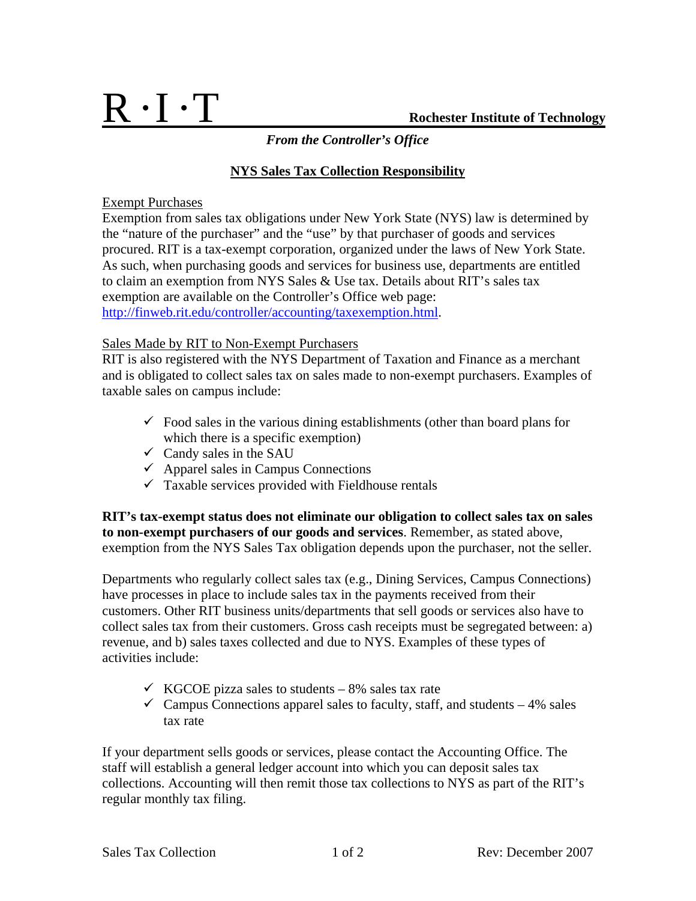# R • I •T **Rochester Institute of Technology**

## *From the Controller's Office*

## **NYS Sales Tax Collection Responsibility**

### Exempt Purchases

Exemption from sales tax obligations under New York State (NYS) law is determined by the "nature of the purchaser" and the "use" by that purchaser of goods and services procured. RIT is a tax-exempt corporation, organized under the laws of New York State. As such, when purchasing goods and services for business use, departments are entitled to claim an exemption from NYS Sales & Use tax. Details about RIT's sales tax exemption are available on the Controller's Office web page: http://finweb.rit.edu/controller/accounting/taxexemption.html.

### Sales Made by RIT to Non-Exempt Purchasers

RIT is also registered with the NYS Department of Taxation and Finance as a merchant and is obligated to collect sales tax on sales made to non-exempt purchasers. Examples of taxable sales on campus include:

- $\checkmark$  Food sales in the various dining establishments (other than board plans for which there is a specific exemption)
- $\checkmark$  Candy sales in the SAU
- $\checkmark$  Apparel sales in Campus Connections
- $\checkmark$  Taxable services provided with Fieldhouse rentals

**RIT's tax-exempt status does not eliminate our obligation to collect sales tax on sales to non-exempt purchasers of our goods and services**. Remember, as stated above, exemption from the NYS Sales Tax obligation depends upon the purchaser, not the seller.

Departments who regularly collect sales tax (e.g., Dining Services, Campus Connections) have processes in place to include sales tax in the payments received from their customers. Other RIT business units/departments that sell goods or services also have to collect sales tax from their customers. Gross cash receipts must be segregated between: a) revenue, and b) sales taxes collected and due to NYS. Examples of these types of activities include:

- $\checkmark$  KGCOE pizza sales to students 8% sales tax rate
- $\checkmark$  Campus Connections apparel sales to faculty, staff, and students 4% sales tax rate

If your department sells goods or services, please contact the Accounting Office. The staff will establish a general ledger account into which you can deposit sales tax collections. Accounting will then remit those tax collections to NYS as part of the RIT's regular monthly tax filing.